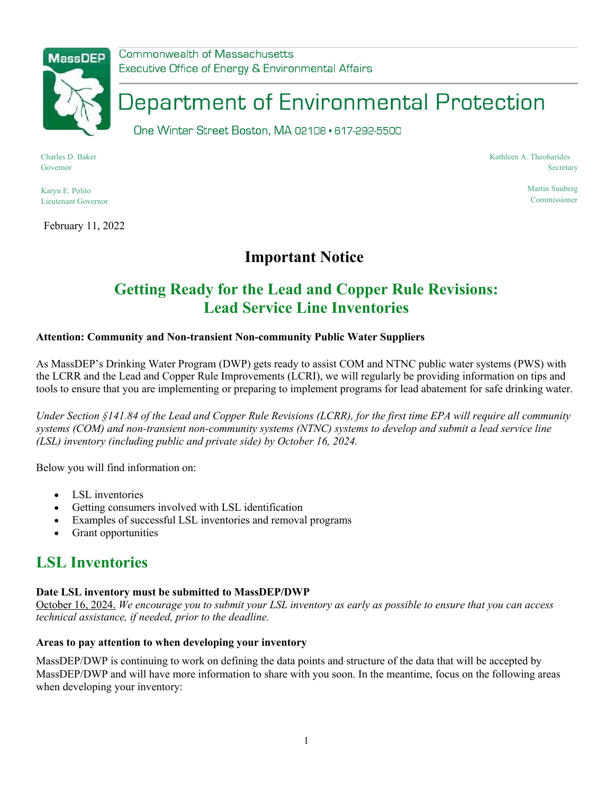

Commonwealth of Massachusetts Executive Office of Energy & Environmental Affairs

# Department of Environmental Protection

One Winter Street Boston, MA 02108 · 617-292-5500

Charles D. Baker Governor

Karyn E. Polito Lieutenant Governor

February 11, 2022

#### Kathleen A. Theoharides **Secretary**

Martin Suuberg Commissioner

## **Important Notice**

# **Getting Ready for the Lead and Copper Rule Revisions: Lead Service Line Inventories**

### **Attention: Community and Non-transient Non-community Public Water Suppliers**

As MassDEP's Drinking Water Program (DWP) gets ready to assist COM and NTNC public water systems (PWS) with the LCRR and the Lead and Copper Rule Improvements (LCRI), we will regularly be providing information on tips and tools to ensure that you are implementing or preparing to implement programs for lead abatement for safe drinking water.

*Under Section §141.84 of the Lead and Copper Rule Revisions (LCRR), for the first time EPA will require all community systems (COM) and non-transient non-community systems (NTNC) systems to develop and submit a lead service line (LSL) inventory (including public and private side) by October 16, 2024.* 

Below you will find information on:

- LSL inventories
- Getting consumers involved with LSL identification
- Examples of successful LSL inventories and removal programs
- Grant opportunities

## **LSL Inventories**

#### **Date LSL inventory must be submitted to MassDEP/DWP**

October 16, 2024. We encourage you to submit your LSL inventory as early as possible to ensure that you can access *technical assistance, if needed, prior to the deadline.*

#### **Areas to pay attention to when developing your inventory**

MassDEP/DWP is continuing to work on defining the data points and structure of the data that will be accepted by MassDEP/DWP and will have more information to share with you soon. In the meantime, focus on the following areas when developing your inventory: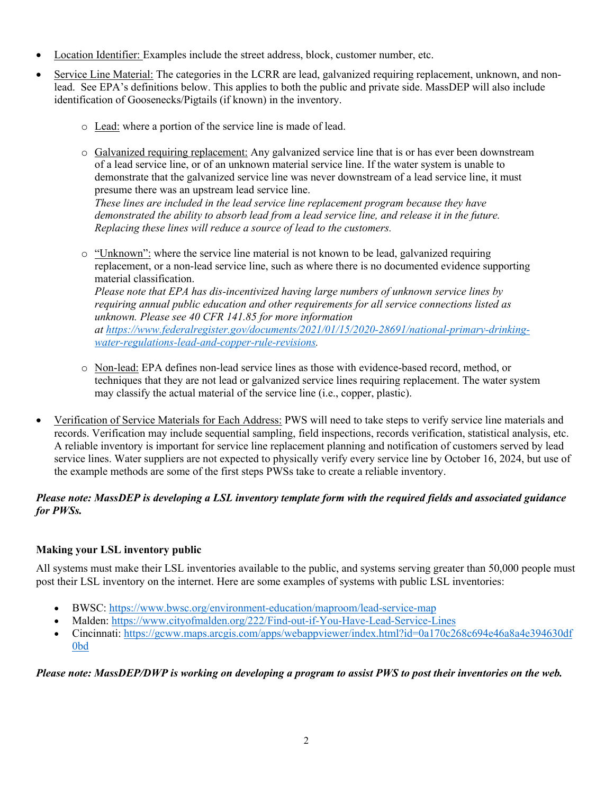- Location Identifier: Examples include the street address, block, customer number, etc.
- Service Line Material: The categories in the LCRR are lead, galvanized requiring replacement, unknown, and nonlead. See EPA's definitions below. This applies to both the public and private side. MassDEP will also include identification of Goosenecks/Pigtails (if known) in the inventory.
	- o Lead: where a portion of the service line is made of lead.
	- o Galvanized requiring replacement: Any galvanized service line that is or has ever been downstream of a lead service line, or of an unknown material service line. If the water system is unable to demonstrate that the galvanized service line was never downstream of a lead service line, it must presume there was an upstream lead service line.

*These lines are included in the lead service line replacement program because they have demonstrated the ability to absorb lead from a lead service line, and release it in the future. Replacing these lines will reduce a source of lead to the customers.*

 $\circ$  "Unknown": where the service line material is not known to be lead, galvanized requiring replacement, or a non-lead service line, such as where there is no documented evidence supporting material classification. *Please note that EPA has dis-incentivized having large numbers of unknown service lines by*

*requiring annual public education and other requirements for all service connections listed as unknown. Please see 40 CFR 141.85 for more information at https://www.federalregister.gov/documents/2021/01/15/2020-28691/national-primary-drinking-*

*water-regulations-lead-and-copper-rule-revisions.*

- o Non-lead: EPA defines non-lead service lines as those with evidence-based record, method, or techniques that they are not lead or galvanized service lines requiring replacement. The water system may classify the actual material of the service line (i.e., copper, plastic).
- Verification of Service Materials for Each Address: PWS will need to take steps to verify service line materials and records. Verification may include sequential sampling, field inspections, records verification, statistical analysis, etc. A reliable inventory is important for service line replacement planning and notification of customers served by lead service lines. Water suppliers are not expected to physically verify every service line by October 16, 2024, but use of the example methods are some of the first steps PWSs take to create a reliable inventory.

### *Please note: MassDEP is developing a LSL inventory template form with the required fields and associated guidance for PWSs.*

### **Making your LSL inventory public**

All systems must make their LSL inventories available to the public, and systems serving greater than 50,000 people must post their LSL inventory on the internet. Here are some examples of systems with public LSL inventories:

- BWSC: https://www.bwsc.org/environment-education/maproom/lead-service-map
- Malden: https://www.cityofmalden.org/222/Find-out-if-You-Have-Lead-Service-Lines
- Cincinnati: https://gcww.maps.arcgis.com/apps/webappviewer/index.html?id=0a170c268c694e46a8a4e394630df 0bd

### *Please note: MassDEP/DWP is working on developing a program to assist PWS to post their inventories on the web.*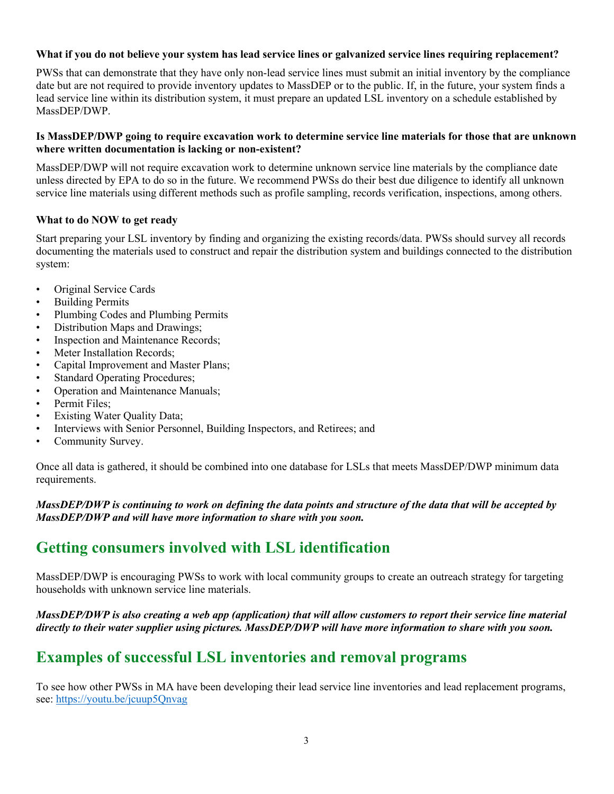#### What if you do not believe your system has lead service lines or galvanized service lines requiring replacement?

PWSs that can demonstrate that they have only non-lead service lines must submit an initial inventory by the compliance date but are not required to provide inventory updates to MassDEP or to the public. If, in the future, your system finds a lead service line within its distribution system, it must prepare an updated LSL inventory on a schedule established by MassDEP/DWP.

#### Is MassDEP/DWP going to require excavation work to determine service line materials for those that are unknown **where written documentation is lacking or non-existent?**

MassDEP/DWP will not require excavation work to determine unknown service line materials by the compliance date unless directed by EPA to do so in the future. We recommend PWSs do their best due diligence to identify all unknown service line materials using different methods such as profile sampling, records verification, inspections, among others.

#### **What to do NOW to get ready**

Start preparing your LSL inventory by finding and organizing the existing records/data. PWSs should survey all records documenting the materials used to construct and repair the distribution system and buildings connected to the distribution system:

- Original Service Cards
- Building Permits
- Plumbing Codes and Plumbing Permits
- Distribution Maps and Drawings;
- Inspection and Maintenance Records;
- Meter Installation Records:
- Capital Improvement and Master Plans;
- Standard Operating Procedures;
- Operation and Maintenance Manuals;
- Permit Files;
- **Existing Water Quality Data;**
- Interviews with Senior Personnel, Building Inspectors, and Retirees; and
- Community Survey.

Once all data is gathered, it should be combined into one database for LSLs that meets MassDEP/DWP minimum data requirements.

#### *MassDEP/DWP is continuing to work on defining the data points and structure of the data that will be accepted by MassDEP/DWP and will have more information to share with you soon.*

## **Getting consumers involved with LSL identification**

MassDEP/DWP is encouraging PWSs to work with local community groups to create an outreach strategy for targeting households with unknown service line materials.

#### *MassDEP/DWP is also creating a web app (application) that will allow customers to report their service line material directly to their water supplier using pictures. MassDEP/DWP will have more information to share with you soon.*

# **Examples of successful LSL inventories and removal programs**

To see how other PWSs in MA have been developing their lead service line inventories and lead replacement programs, see: https://youtu.be/jcuup5Qnvag